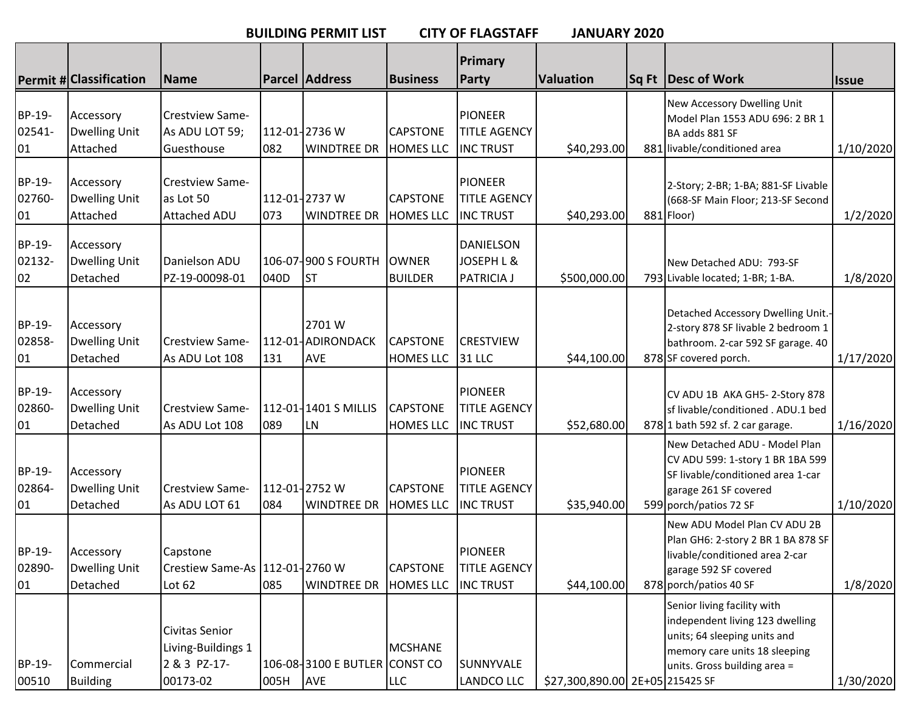**BUILDING PERMIT LIST CITY OF FLAGSTAFF JANUARY 2020**

|                        |                                               |                                                                  |      |                                             |                                     | Primary                                                   |                                 |                                                                                                                                                                 |              |
|------------------------|-----------------------------------------------|------------------------------------------------------------------|------|---------------------------------------------|-------------------------------------|-----------------------------------------------------------|---------------------------------|-----------------------------------------------------------------------------------------------------------------------------------------------------------------|--------------|
|                        | <b>Permit # Classification</b>                | Name                                                             |      | <b>Parcel Address</b>                       | <b>Business</b>                     | <b>Party</b>                                              | <b>Valuation</b>                | Sq Ft Desc of Work                                                                                                                                              | <b>Issue</b> |
| BP-19-<br>02541-<br>01 | Accessory<br><b>Dwelling Unit</b><br>Attached | Crestview Same-<br>As ADU LOT 59;<br>Guesthouse                  | 082  | 112-01-2736 W<br><b>WINDTREE DR</b>         | <b>CAPSTONE</b><br><b>HOMES LLC</b> | <b>PIONEER</b><br><b>TITLE AGENCY</b><br><b>INC TRUST</b> | \$40,293.00                     | New Accessory Dwelling Unit<br>Model Plan 1553 ADU 696: 2 BR 1<br>BA adds 881 SF<br>881 livable/conditioned area                                                | 1/10/2020    |
| BP-19-<br>02760-<br>01 | Accessory<br><b>Dwelling Unit</b><br>Attached | Crestview Same-<br>as Lot 50<br><b>Attached ADU</b>              | 073  | 112-01-2737 W<br><b>WINDTREE DR</b>         | <b>CAPSTONE</b><br><b>HOMES LLC</b> | <b>PIONEER</b><br><b>TITLE AGENCY</b><br><b>INC TRUST</b> | \$40,293.00                     | 2-Story; 2-BR; 1-BA; 881-SF Livable<br>(668-SF Main Floor; 213-SF Second<br>881 Floor)                                                                          | 1/2/2020     |
| BP-19-<br>02132-<br>02 | Accessory<br><b>Dwelling Unit</b><br>Detached | Danielson ADU<br>PZ-19-00098-01                                  | 040D | 106-07-900 S FOURTH<br><b>ST</b>            | <b>OWNER</b><br><b>BUILDER</b>      | <b>DANIELSON</b><br>JOSEPH L &<br><b>PATRICIA J</b>       | \$500,000.00                    | New Detached ADU: 793-SF<br>793 Livable located; 1-BR; 1-BA.                                                                                                    | 1/8/2020     |
| BP-19-<br>02858-<br>01 | Accessory<br><b>Dwelling Unit</b><br>Detached | Crestview Same-<br>As ADU Lot 108                                | 131  | 2701 W<br>112-01-ADIRONDACK<br><b>AVE</b>   | <b>CAPSTONE</b><br><b>HOMES LLC</b> | <b>CRESTVIEW</b><br><b>31 LLC</b>                         | \$44,100.00                     | Detached Accessory Dwelling Unit.-<br>2-story 878 SF livable 2 bedroom 1<br>bathroom. 2-car 592 SF garage. 40<br>878 SF covered porch.                          | 1/17/2020    |
| BP-19-<br>02860-<br>01 | Accessory<br><b>Dwelling Unit</b><br>Detached | Crestview Same-<br>As ADU Lot 108                                | 089  | 112-01-1401 S MILLIS<br>${\sf LN}$          | <b>CAPSTONE</b><br><b>HOMES LLC</b> | <b>PIONEER</b><br><b>TITLE AGENCY</b><br><b>INC TRUST</b> | \$52,680.00                     | CV ADU 1B AKA GH5-2-Story 878<br>sf livable/conditioned . ADU.1 bed<br>878 1 bath 592 sf. 2 car garage.                                                         | 1/16/2020    |
| BP-19-<br>02864-<br>01 | Accessory<br><b>Dwelling Unit</b><br>Detached | Crestview Same-<br>As ADU LOT 61                                 | 084  | 112-01-2752 W<br><b>WINDTREE DR</b>         | <b>CAPSTONE</b><br><b>HOMES LLC</b> | <b>PIONEER</b><br><b>TITLE AGENCY</b><br><b>INC TRUST</b> | \$35,940.00                     | New Detached ADU - Model Plan<br>CV ADU 599: 1-story 1 BR 1BA 599<br>SF livable/conditioned area 1-car<br>garage 261 SF covered<br>599 porch/patios 72 SF       | 1/10/2020    |
| BP-19-<br>02890-<br>01 | Accessory<br><b>Dwelling Unit</b><br>Detached | Capstone<br>Crestiew Same-As   112-01-2760 W<br>Lot 62           | 085  | <b>WINDTREE DR</b>                          | <b>CAPSTONE</b><br><b>HOMES LLC</b> | <b>PIONEER</b><br><b>TITLE AGENCY</b><br><b>INC TRUST</b> | \$44,100.00                     | New ADU Model Plan CV ADU 2B<br>Plan GH6: 2-story 2 BR 1 BA 878 SF<br>livable/conditioned area 2-car<br>garage 592 SF covered<br>878 porch/patios 40 SF         | 1/8/2020     |
| BP-19-<br>00510        | Commercial<br><b>Building</b>                 | Civitas Senior<br>Living-Buildings 1<br>2 & 3 PZ-17-<br>00173-02 | 005H | 106-08-3100 E BUTLER CONST CO<br><b>AVE</b> | <b>MCSHANE</b><br><b>LLC</b>        | SUNNYVALE<br>LANDCO LLC                                   | \$27,300,890.00 2E+05 215425 SF | Senior living facility with<br>independent living 123 dwelling<br>units; 64 sleeping units and<br>memory care units 18 sleeping<br>units. Gross building area = | 1/30/2020    |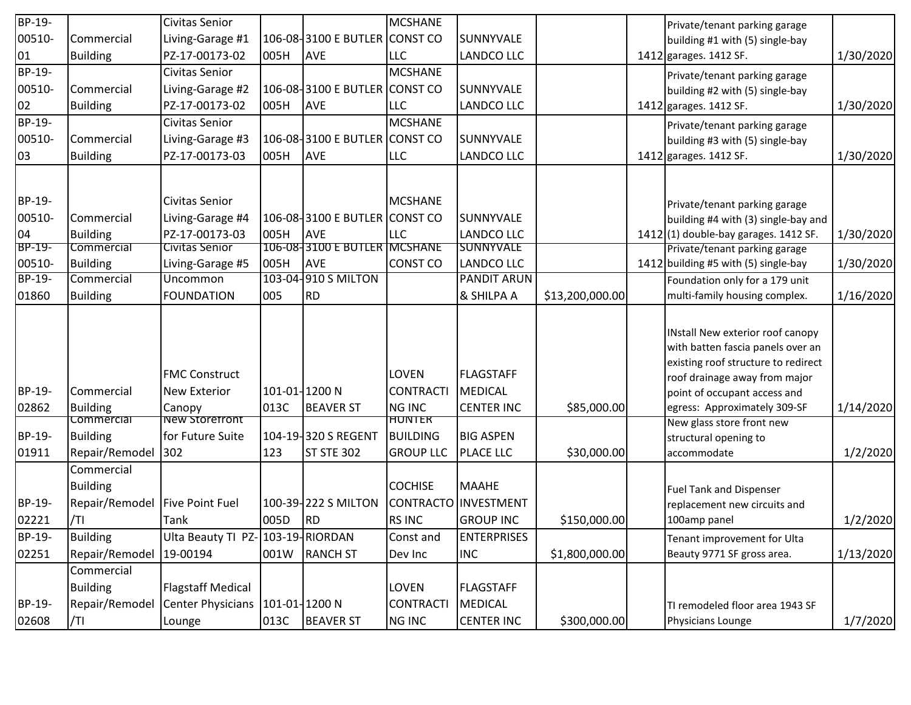| BP-19-        |                 | Civitas Senior                   |               |                               | <b>MCSHANE</b>   |                      |                 | Private/tenant parking garage          |           |
|---------------|-----------------|----------------------------------|---------------|-------------------------------|------------------|----------------------|-----------------|----------------------------------------|-----------|
| 00510-        | Commercial      | Living-Garage #1                 |               | 106-08-3100 E BUTLER CONST CO |                  | <b>SUNNYVALE</b>     |                 | building #1 with (5) single-bay        |           |
| 01            | <b>Building</b> | PZ-17-00173-02                   | 005H          | <b>AVE</b>                    | <b>LLC</b>       | <b>LANDCO LLC</b>    |                 | 1412 garages. 1412 SF.                 | 1/30/2020 |
| BP-19-        |                 | Civitas Senior                   |               |                               | <b>MCSHANE</b>   |                      |                 | Private/tenant parking garage          |           |
| 00510-        | Commercial      | Living-Garage #2                 |               | 106-08-3100 E BUTLER CONST CO |                  | <b>SUNNYVALE</b>     |                 | building #2 with (5) single-bay        |           |
| 02            | <b>Building</b> | PZ-17-00173-02                   | 005H          | <b>AVE</b>                    | <b>LLC</b>       | LANDCO LLC           |                 | 1412 garages. 1412 SF.                 | 1/30/2020 |
| BP-19-        |                 | Civitas Senior                   |               |                               | <b>MCSHANE</b>   |                      |                 | Private/tenant parking garage          |           |
| 00510-        | Commercial      | Living-Garage #3                 |               | 106-08-3100 E BUTLER CONST CO |                  | <b>SUNNYVALE</b>     |                 | building #3 with (5) single-bay        |           |
| 03            | <b>Building</b> | PZ-17-00173-03                   | 005H          | <b>AVE</b>                    | <b>LLC</b>       | <b>LANDCO LLC</b>    |                 | 1412 garages. 1412 SF.                 | 1/30/2020 |
|               |                 |                                  |               |                               |                  |                      |                 |                                        |           |
|               |                 |                                  |               |                               |                  |                      |                 |                                        |           |
| BP-19-        |                 | Civitas Senior                   |               |                               | <b>MCSHANE</b>   |                      |                 | Private/tenant parking garage          |           |
| 00510-        | Commercial      | Living-Garage #4                 |               | 106-08-3100 E BUTLER CONST CO |                  | <b>SUNNYVALE</b>     |                 | building #4 with (3) single-bay and    |           |
| 04            | Building        | PZ-17-00173-03                   | 005H          | <b>AVE</b>                    | <b>LLC</b>       | <b>LANDCO LLC</b>    |                 | $1412(1)$ double-bay garages. 1412 SF. | 1/30/2020 |
| BP-19-        | Commercial      | Civitas Senior                   |               | 106-08-3100 E BUTLER MCSHANE  |                  | <b>SUNNYVALE</b>     |                 | Private/tenant parking garage          |           |
| 00510-        | Building        | Living-Garage #5                 | 005H          | <b>AVE</b>                    | <b>CONST CO</b>  | <b>LANDCO LLC</b>    |                 | 1412 building #5 with (5) single-bay   | 1/30/2020 |
| <b>BP-19-</b> | Commercial      | Uncommon                         |               | 103-04-910 S MILTON           |                  | <b>PANDIT ARUN</b>   |                 | Foundation only for a 179 unit         |           |
| 01860         | <b>Building</b> | <b>FOUNDATION</b>                | 005           | <b>RD</b>                     |                  | & SHILPA A           | \$13,200,000.00 | multi-family housing complex.          | 1/16/2020 |
|               |                 |                                  |               |                               |                  |                      |                 |                                        |           |
|               |                 |                                  |               |                               |                  |                      |                 | INstall New exterior roof canopy       |           |
|               |                 |                                  |               |                               |                  |                      |                 | with batten fascia panels over an      |           |
|               |                 |                                  |               |                               |                  |                      |                 | existing roof structure to redirect    |           |
|               |                 | <b>FMC Construct</b>             |               |                               | LOVEN            | <b>FLAGSTAFF</b>     |                 | roof drainage away from major          |           |
| BP-19-        | Commercial      | <b>New Exterior</b>              | 101-01-1200 N |                               | <b>CONTRACTI</b> | <b>MEDICAL</b>       |                 | point of occupant access and           |           |
| 02862         | Building        | Canopy                           | 013C          | <b>BEAVER ST</b>              | <b>NG INC</b>    | <b>CENTER INC</b>    | \$85,000.00     | egress: Approximately 309-SF           | 1/14/2020 |
|               | commercial      | New Storefront                   |               |                               | <u>HUNTER</u>    |                      |                 | New glass store front new              |           |
| BP-19-        | <b>Building</b> | for Future Suite                 |               | 104-19-320 S REGENT           | <b>BUILDING</b>  | <b>BIG ASPEN</b>     |                 | structural opening to                  |           |
| 01911         | Repair/Remodel  | 302                              | 123           | ST STE 302                    | <b>GROUP LLC</b> | <b>PLACE LLC</b>     | \$30,000.00     | accommodate                            | 1/2/2020  |
|               | Commercial      |                                  |               |                               |                  |                      |                 |                                        |           |
|               | <b>Building</b> |                                  |               |                               | <b>COCHISE</b>   | <b>MAAHE</b>         |                 | <b>Fuel Tank and Dispenser</b>         |           |
| BP-19-        | Repair/Remodel  | <b>Five Point Fuel</b>           |               | 100-39-222 S MILTON           |                  | CONTRACTO INVESTMENT |                 | replacement new circuits and           |           |
| 02221         | /TI             | Tank                             | 005D          | RD <sup></sup>                | <b>RS INC</b>    | <b>GROUP INC</b>     | \$150,000.00    | 100amp panel                           | 1/2/2020  |
| BP-19-        | <b>Building</b> | Ulta Beauty TI PZ-103-19-RIORDAN |               |                               | Const and        | <b>ENTERPRISES</b>   |                 | Tenant improvement for Ulta            |           |
| 02251         | Repair/Remodel  | 19-00194                         | 001W          | <b>RANCH ST</b>               | Dev Inc          | <b>INC</b>           | \$1,800,000.00  | Beauty 9771 SF gross area.             | 1/13/2020 |
|               | Commercial      |                                  |               |                               |                  |                      |                 |                                        |           |
|               | <b>Building</b> | <b>Flagstaff Medical</b>         |               |                               | LOVEN            | <b>FLAGSTAFF</b>     |                 |                                        |           |
| BP-19-        | Repair/Remodel  | Center Physicians                | 101-01-1200 N |                               | <b>CONTRACTI</b> | <b>MEDICAL</b>       |                 | TI remodeled floor area 1943 SF        |           |
| 02608         | /TI             | Lounge                           | 013C          | <b>BEAVER ST</b>              | <b>NG INC</b>    | <b>CENTER INC</b>    | \$300,000.00    | Physicians Lounge                      | 1/7/2020  |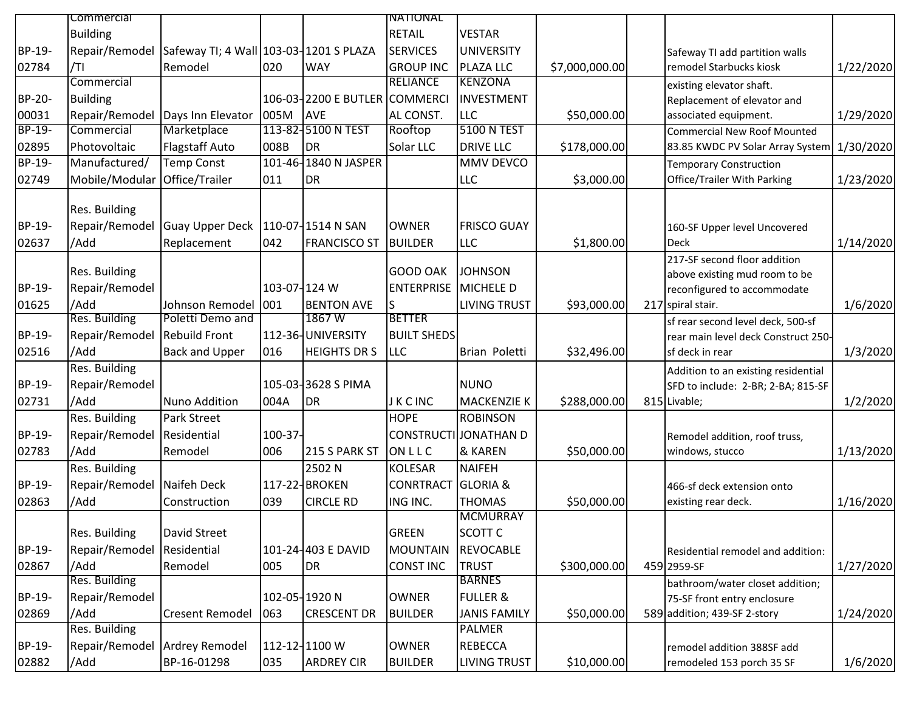|               | commercial                 |                                        |              |                               | INATIONAL                     |                       |                |                                     |           |
|---------------|----------------------------|----------------------------------------|--------------|-------------------------------|-------------------------------|-----------------------|----------------|-------------------------------------|-----------|
|               | <b>Building</b>            |                                        |              |                               | <b>RETAIL</b>                 | <b>VESTAR</b>         |                |                                     |           |
| BP-19-        | Repair/Remodel             | Safeway TI; 4 Wall 103-03-1201 S PLAZA |              |                               | <b>SERVICES</b>               | <b>UNIVERSITY</b>     |                | Safeway TI add partition walls      |           |
| 02784         | /TI                        | Remodel                                | 020          | <b>WAY</b>                    | <b>GROUP INC</b>              | <b>PLAZA LLC</b>      | \$7,000,000.00 | remodel Starbucks kiosk             | 1/22/2020 |
|               | Commercial                 |                                        |              |                               | <b>RELIANCE</b>               | <b>KENZONA</b>        |                | existing elevator shaft.            |           |
| BP-20-        | <b>Building</b>            |                                        |              | 106-03-2200 E BUTLER COMMERCI |                               | <b>INVESTMENT</b>     |                | Replacement of elevator and         |           |
| 00031         |                            | Repair/Remodel Days Inn Elevator       | 005M         | <b>AVE</b>                    | AL CONST.                     | <b>LLC</b>            | \$50,000.00    | associated equipment.               | 1/29/2020 |
| BP-19-        | Commercial                 | Marketplace                            |              | 113-82-5100 N TEST            | Rooftop                       | <b>5100 N TEST</b>    |                | <b>Commercial New Roof Mounted</b>  |           |
| 02895         | Photovoltaic               | Flagstaff Auto                         | 008B         | <b>DR</b>                     | Solar LLC                     | <b>DRIVE LLC</b>      | \$178,000.00   | 83.85 KWDC PV Solar Array System    | 1/30/2020 |
| <b>BP-19-</b> | Manufactured/              | <b>Temp Const</b>                      |              | 101-46-1840 N JASPER          |                               | <b>MMV DEVCO</b>      |                | <b>Temporary Construction</b>       |           |
| 02749         | Mobile/Modular             | Office/Trailer                         | 011          | <b>DR</b>                     |                               | <b>LLC</b>            | \$3,000.00     | Office/Trailer With Parking         | 1/23/2020 |
|               | Res. Building              |                                        |              |                               |                               |                       |                |                                     |           |
| BP-19-        | Repair/Remodel             | <b>Guay Upper Deck</b>                 |              | 110-07-1514 N SAN             | <b>OWNER</b>                  | <b>FRISCO GUAY</b>    |                | 160-SF Upper level Uncovered        |           |
| 02637         | /Add                       | Replacement                            | 042          | <b>FRANCISCO ST</b>           | <b>BUILDER</b>                | <b>LLC</b>            | \$1,800.00     | <b>Deck</b>                         | 1/14/2020 |
|               |                            |                                        |              |                               |                               |                       |                | 217-SF second floor addition        |           |
|               | Res. Building              |                                        |              |                               | <b>GOOD OAK</b>               | <b>JOHNSON</b>        |                | above existing mud room to be       |           |
| BP-19-        | Repair/Remodel             |                                        | 103-07-124 W |                               | <b>ENTERPRISE   MICHELE D</b> |                       |                | reconfigured to accommodate         |           |
| 01625         | /Add                       | Johnson Remodel                        | 001          | <b>BENTON AVE</b>             | IS.                           | <b>LIVING TRUST</b>   | \$93,000.00    | 217 spiral stair.                   | 1/6/2020  |
|               | Res. Building              | Poletti Demo and                       |              | 1867 W                        | <b>BETTER</b>                 |                       |                | sf rear second level deck, 500-sf   |           |
| BP-19-        | Repair/Remodel             | <b>Rebuild Front</b>                   |              | 112-36-UNIVERSITY             | <b>BUILT SHEDS</b>            |                       |                | rear main level deck Construct 250- |           |
| 02516         | /Add                       | <b>Back and Upper</b>                  | 016          | <b>HEIGHTS DR S</b>           | <b>LLC</b>                    | Brian Poletti         | \$32,496.00    | sf deck in rear                     | 1/3/2020  |
|               | Res. Building              |                                        |              |                               |                               |                       |                | Addition to an existing residential |           |
| BP-19-        | Repair/Remodel             |                                        |              | 105-03-3628 S PIMA            |                               | <b>NUNO</b>           |                | SFD to include: 2-BR; 2-BA; 815-SF  |           |
| 02731         | /Add                       | Nuno Addition                          | 004A         | <b>DR</b>                     | <b>JKCINC</b>                 | <b>MACKENZIE K</b>    | \$288,000.00   | 815 Livable;                        | 1/2/2020  |
|               | Res. Building              | Park Street                            |              |                               | <b>HOPE</b>                   | <b>ROBINSON</b>       |                |                                     |           |
| BP-19-        | Repair/Remodel             | Residential                            | 100-37-      |                               |                               | CONSTRUCTI JONATHAN D |                | Remodel addition, roof truss,       |           |
| 02783         | /Add                       | Remodel                                | 006          | 215 S PARK ST                 | ONLLC                         | & KAREN               | \$50,000.00    | windows, stucco                     | 1/13/2020 |
|               | Res. Building              |                                        |              | 2502N                         | <b>KOLESAR</b>                | <b>NAIFEH</b>         |                |                                     |           |
| BP-19-        | Repair/Remodel             | Naifeh Deck                            |              | 117-22-BROKEN                 | <b>CONRTRACT</b>              | <b>GLORIA &amp;</b>   |                | 466-sf deck extension onto          |           |
| 02863         | /Add                       | Construction                           | 039          | <b>CIRCLE RD</b>              | ING INC.                      | <b>THOMAS</b>         | \$50,000.00    | existing rear deck.                 | 1/16/2020 |
|               |                            |                                        |              |                               |                               | <b>MCMURRAY</b>       |                |                                     |           |
|               | Res. Building              | David Street                           |              |                               | <b>GREEN</b>                  | <b>SCOTT C</b>        |                |                                     |           |
| BP-19-        | Repair/Remodel Residential |                                        |              | 101-24-403 E DAVID            | <b>MOUNTAIN</b>               | <b>REVOCABLE</b>      |                | Residential remodel and addition:   |           |
| 02867         | /Add                       | Remodel                                | 005          | <b>DR</b>                     | <b>CONST INC</b>              | <b>TRUST</b>          | \$300,000.00   | 459 2959-SF                         | 1/27/2020 |
|               | Res. Building              |                                        |              |                               |                               | <b>BARNES</b>         |                | bathroom/water closet addition;     |           |
| BP-19-        | Repair/Remodel             |                                        |              | 102-05-1920 N                 | <b>OWNER</b>                  | <b>FULLER &amp;</b>   |                | 75-SF front entry enclosure         |           |
| 02869         | /Add                       | <b>Cresent Remodel</b>                 | 063          | <b>CRESCENT DR</b>            | <b>BUILDER</b>                | <b>JANIS FAMILY</b>   | \$50,000.00    | 589 addition; 439-SF 2-story        | 1/24/2020 |
|               | Res. Building              |                                        |              |                               |                               | PALMER                |                |                                     |           |
| BP-19-        |                            | Repair/Remodel Ardrey Remodel          |              | 112-12-1100 W                 | <b>OWNER</b>                  | <b>REBECCA</b>        |                | remodel addition 388SF add          |           |
| 02882         | /Add                       | BP-16-01298                            | 035          | <b>ARDREY CIR</b>             | <b>BUILDER</b>                | <b>LIVING TRUST</b>   | \$10,000.00    | remodeled 153 porch 35 SF           | 1/6/2020  |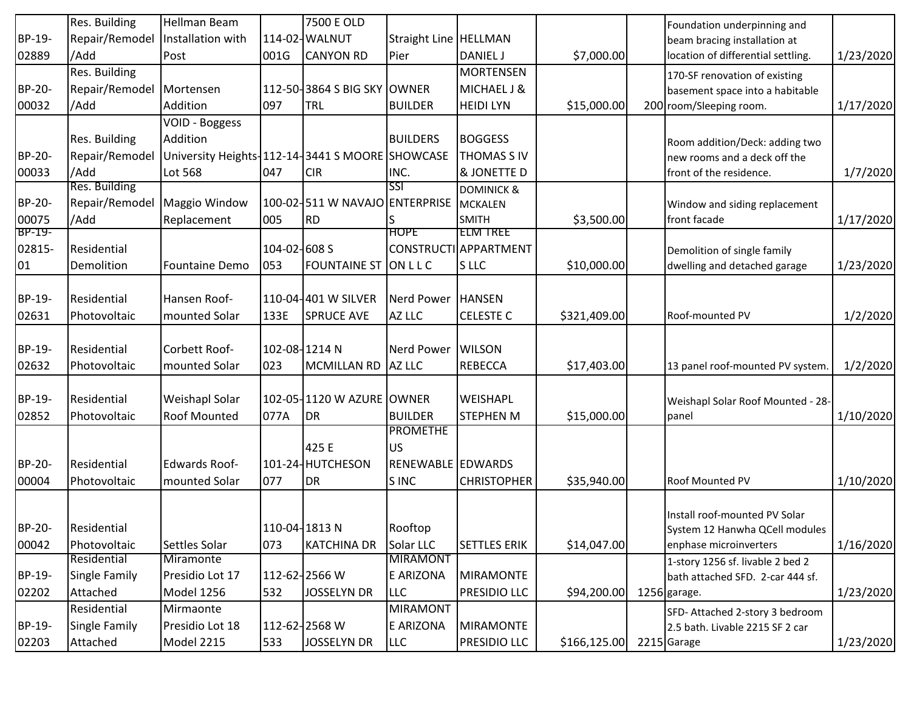|        | Res. Building        | Hellman Beam                                    |               | 7500 E OLD                     |                              |                       |               | Foundation underpinning and        |           |
|--------|----------------------|-------------------------------------------------|---------------|--------------------------------|------------------------------|-----------------------|---------------|------------------------------------|-----------|
| BP-19- | Repair/Remodel       | Installation with                               |               | 114-02-WALNUT                  | <b>Straight Line HELLMAN</b> |                       |               | beam bracing installation at       |           |
| 02889  | /Add                 | Post                                            | 001G          | <b>CANYON RD</b>               | Pier                         | <b>DANIEL J</b>       | \$7,000.00    | location of differential settling. | 1/23/2020 |
|        | Res. Building        |                                                 |               |                                |                              | <b>MORTENSEN</b>      |               | 170-SF renovation of existing      |           |
| BP-20- | Repair/Remodel       | Mortensen                                       |               | 112-50-3864 S BIG SKY OWNER    |                              | MICHAEL J &           |               | basement space into a habitable    |           |
| 00032  | /Add                 | Addition                                        | 097           | TRL                            | <b>BUILDER</b>               | <b>HEIDI LYN</b>      | \$15,000.00   | 200 room/Sleeping room.            | 1/17/2020 |
|        |                      | VOID - Boggess                                  |               |                                |                              |                       |               |                                    |           |
|        | Res. Building        | Addition                                        |               |                                | <b>BUILDERS</b>              | <b>BOGGESS</b>        |               | Room addition/Deck: adding two     |           |
| BP-20- | Repair/Remodel       | University Heights-112-14-3441 S MOORE SHOWCASE |               |                                |                              | THOMAS S IV           |               | new rooms and a deck off the       |           |
| 00033  | /Add                 | Lot 568                                         | 047           | <b>CIR</b>                     | INC.                         | & JONETTE D           |               | front of the residence.            | 1/7/2020  |
|        | Res. Building        |                                                 |               |                                | SSI                          | <b>DOMINICK &amp;</b> |               |                                    |           |
| BP-20- | Repair/Remodel       | Maggio Window                                   |               | 100-02-511 W NAVAJO ENTERPRISE |                              | <b>MCKALEN</b>        |               | Window and siding replacement      |           |
| 00075  | /Add                 | Replacement                                     | 005           | <b>RD</b>                      |                              | <b>SMITH</b>          | \$3,500.00    | front facade                       | 1/17/2020 |
| BP-19- |                      |                                                 |               |                                | <b>HOPE</b>                  | <b>ELM TREE</b>       |               |                                    |           |
| 02815- | Residential          |                                                 | 104-02-608 S  |                                |                              | CONSTRUCTI APPARTMENT |               | Demolition of single family        |           |
| 01     | Demolition           | <b>Fountaine Demo</b>                           | 053           | <b>FOUNTAINE ST</b>            | ONLLC                        | <b>SLLC</b>           | \$10,000.00   | dwelling and detached garage       | 1/23/2020 |
|        |                      |                                                 |               |                                |                              |                       |               |                                    |           |
| BP-19- | Residential          | Hansen Roof-                                    |               | 110-04-401 W SILVER            | <b>Nerd Power</b>            | <b>HANSEN</b>         |               |                                    |           |
| 02631  | Photovoltaic         | mounted Solar                                   | 133E          | <b>SPRUCE AVE</b>              | AZ LLC                       | <b>CELESTE C</b>      | \$321,409.00  | Roof-mounted PV                    | 1/2/2020  |
|        |                      |                                                 |               |                                |                              |                       |               |                                    |           |
| BP-19- | Residential          | Corbett Roof-                                   | 102-08-1214 N |                                | <b>Nerd Power</b>            | <b>WILSON</b>         |               |                                    |           |
| 02632  | Photovoltaic         | mounted Solar                                   | 023           | MCMILLAN RD AZ LLC             |                              | <b>REBECCA</b>        | \$17,403.00   | 13 panel roof-mounted PV system    | 1/2/2020  |
|        |                      |                                                 |               |                                |                              |                       |               |                                    |           |
| BP-19- | Residential          | Weishapl Solar                                  |               | 102-05-11120 W AZURE OWNER     |                              | WEISHAPL              |               | Weishapl Solar Roof Mounted - 28-  |           |
| 02852  | Photovoltaic         | Roof Mounted                                    | 077A          | DR                             | <b>BUILDER</b>               | <b>STEPHEN M</b>      | \$15,000.00   | panel                              | 1/10/2020 |
|        |                      |                                                 |               |                                | <b>PROMETHE</b>              |                       |               |                                    |           |
|        |                      |                                                 |               | 425 E                          | US.                          |                       |               |                                    |           |
| BP-20- | Residential          | <b>Edwards Roof-</b>                            |               | 101-24-HUTCHESON               | RENEWABLE EDWARDS            |                       |               |                                    |           |
| 00004  | Photovoltaic         | mounted Solar                                   | 077           | DR                             | S INC                        | <b>CHRISTOPHER</b>    | \$35,940.00   | Roof Mounted PV                    | 1/10/2020 |
|        |                      |                                                 |               |                                |                              |                       |               |                                    |           |
|        |                      |                                                 |               |                                |                              |                       |               | Install roof-mounted PV Solar      |           |
| BP-20- | Residential          |                                                 | 110-04-1813 N |                                | Rooftop                      |                       |               | System 12 Hanwha QCell modules     |           |
| 00042  | Photovoltaic         | Settles Solar                                   | 073           | <b>KATCHINA DR</b>             | Solar LLC                    | <b>SETTLES ERIK</b>   | \$14,047.00   | enphase microinverters             | 1/16/2020 |
|        | Residential          | Miramonte                                       |               |                                | <b>MIRAMONT</b>              |                       |               | 1-story 1256 sf. livable 2 bed 2   |           |
| BP-19- | <b>Single Family</b> | Presidio Lot 17                                 |               | 112-62-2566 W                  | E ARIZONA                    | <b>MIRAMONTE</b>      |               | bath attached SFD. 2-car 444 sf.   |           |
| 02202  | Attached             | Model 1256                                      | 532           | <b>JOSSELYN DR</b>             | <b>LLC</b>                   | PRESIDIO LLC          | \$94,200.00   | 1256 garage.                       | 1/23/2020 |
|        | Residential          | Mirmaonte                                       |               |                                | <b>MIRAMONT</b>              |                       |               | SFD- Attached 2-story 3 bedroom    |           |
| BP-19- | Single Family        | Presidio Lot 18                                 |               | 112-62-2568 W                  | E ARIZONA                    | <b>MIRAMONTE</b>      |               | 2.5 bath. Livable 2215 SF 2 car    |           |
| 02203  | Attached             | Model 2215                                      | 533           | <b>JOSSELYN DR</b>             | <b>LLC</b>                   | PRESIDIO LLC          | \$166, 125.00 | 2215 Garage                        | 1/23/2020 |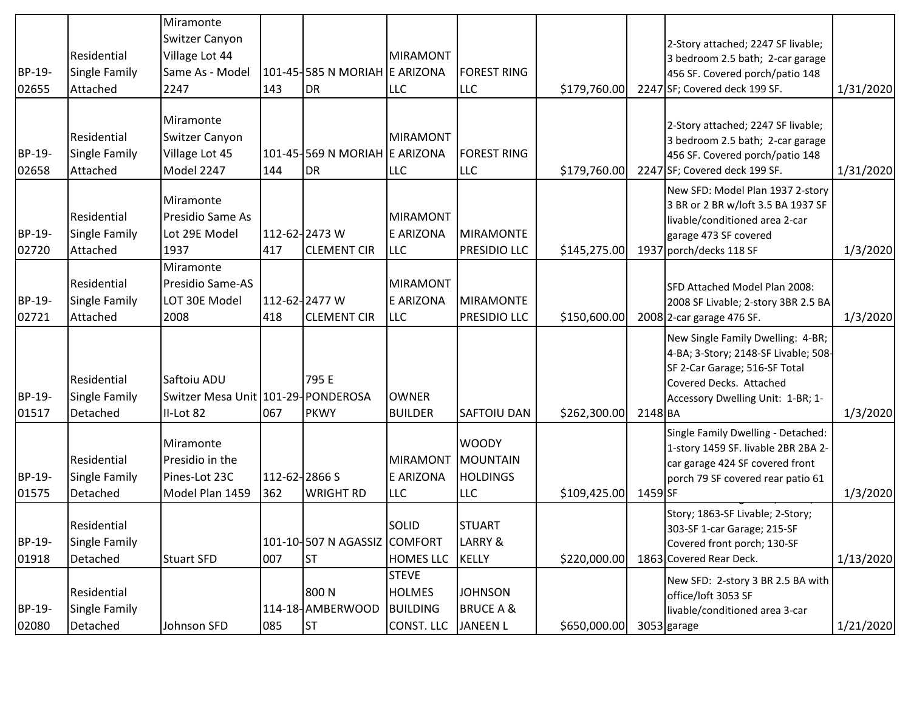|        |                      | Miramonte                          |               |                               |                 |                      |              |         |                                                                           |           |
|--------|----------------------|------------------------------------|---------------|-------------------------------|-----------------|----------------------|--------------|---------|---------------------------------------------------------------------------|-----------|
|        |                      | Switzer Canyon                     |               |                               |                 |                      |              |         | 2-Story attached; 2247 SF livable;                                        |           |
|        | Residential          | Village Lot 44                     |               |                               | <b>MIRAMONT</b> |                      |              |         | 3 bedroom 2.5 bath; 2-car garage                                          |           |
| BP-19- | Single Family        | Same As - Model                    |               | 101-45-585 N MORIAH E ARIZONA |                 | <b>FOREST RING</b>   |              |         | 456 SF. Covered porch/patio 148                                           |           |
| 02655  | Attached             | 2247                               | 143           | <b>DR</b>                     | LLC             | <b>LLC</b>           | \$179,760.00 |         | 2247 SF; Covered deck 199 SF.                                             | 1/31/2020 |
|        |                      |                                    |               |                               |                 |                      |              |         |                                                                           |           |
|        |                      | Miramonte                          |               |                               |                 |                      |              |         | 2-Story attached; 2247 SF livable;                                        |           |
|        | Residential          | Switzer Canyon                     |               |                               | <b>MIRAMONT</b> |                      |              |         | 3 bedroom 2.5 bath; 2-car garage                                          |           |
| BP-19- | Single Family        | Village Lot 45                     |               | 101-45-569 N MORIAH E ARIZONA |                 | <b>FOREST RING</b>   |              |         | 456 SF. Covered porch/patio 148                                           |           |
| 02658  | Attached             | Model 2247                         | 144           | DR                            | LLC             | LLC                  | \$179,760.00 |         | 2247 SF; Covered deck 199 SF.                                             | 1/31/2020 |
|        |                      |                                    |               |                               |                 |                      |              |         | New SFD: Model Plan 1937 2-story                                          |           |
|        |                      | Miramonte                          |               |                               |                 |                      |              |         | 3 BR or 2 BR w/loft 3.5 BA 1937 SF                                        |           |
|        | Residential          | Presidio Same As                   |               |                               | <b>MIRAMONT</b> |                      |              |         | livable/conditioned area 2-car                                            |           |
| BP-19- | <b>Single Family</b> | Lot 29E Model                      |               | 112-62-2473 W                 | E ARIZONA       | <b>MIRAMONTE</b>     |              |         | garage 473 SF covered                                                     |           |
| 02720  | Attached             | 1937                               | 417           | <b>CLEMENT CIR</b>            | <b>LLC</b>      | PRESIDIO LLC         | \$145,275.00 |         | 1937 porch/decks 118 SF                                                   | 1/3/2020  |
|        |                      | Miramonte                          |               |                               |                 |                      |              |         |                                                                           |           |
|        | Residential          | Presidio Same-AS                   |               |                               | <b>MIRAMONT</b> |                      |              |         | SFD Attached Model Plan 2008:                                             |           |
| BP-19- | <b>Single Family</b> | LOT 30E Model                      |               | 112-62-2477 W                 | E ARIZONA       | <b>MIRAMONTE</b>     |              |         | 2008 SF Livable; 2-story 3BR 2.5 BA                                       |           |
| 02721  | Attached             | 2008                               | 418           | <b>CLEMENT CIR</b>            | LLC             | PRESIDIO LLC         | \$150,600.00 |         | 2008 2-car garage 476 SF.                                                 | 1/3/2020  |
|        |                      |                                    |               |                               |                 |                      |              |         | New Single Family Dwelling: 4-BR;                                         |           |
|        |                      |                                    |               |                               |                 |                      |              |         | 4-BA; 3-Story; 2148-SF Livable; 508-                                      |           |
|        | Residential          | Saftoiu ADU                        |               | 795 E                         |                 |                      |              |         | SF 2-Car Garage; 516-SF Total                                             |           |
| BP-19- | Single Family        | Switzer Mesa Unit 101-29-PONDEROSA |               |                               | <b>OWNER</b>    |                      |              |         | Covered Decks. Attached                                                   |           |
| 01517  | Detached             | II-Lot 82                          | 067           | <b>PKWY</b>                   | <b>BUILDER</b>  | <b>SAFTOIU DAN</b>   | \$262,300.00 | 2148 BA | Accessory Dwelling Unit: 1-BR; 1-                                         | 1/3/2020  |
|        |                      |                                    |               |                               |                 |                      |              |         |                                                                           |           |
|        |                      | Miramonte                          |               |                               |                 | <b>WOODY</b>         |              |         | Single Family Dwelling - Detached:<br>1-story 1459 SF. livable 2BR 2BA 2- |           |
|        | Residential          | Presidio in the                    |               |                               | <b>MIRAMONT</b> | <b>MOUNTAIN</b>      |              |         | car garage 424 SF covered front                                           |           |
| BP-19- | Single Family        | Pines-Lot 23C                      | 112-62-2866 S |                               | E ARIZONA       | <b>HOLDINGS</b>      |              |         | porch 79 SF covered rear patio 61                                         |           |
| 01575  | Detached             | Model Plan 1459                    | 362           | <b>WRIGHT RD</b>              | LLC             | LLC                  | \$109,425.00 | 1459 SF |                                                                           | 1/3/2020  |
|        |                      |                                    |               |                               |                 |                      |              |         | Story; 1863-SF Livable; 2-Story;                                          |           |
|        | Residential          |                                    |               |                               | SOLID           | <b>STUART</b>        |              |         | 303-SF 1-car Garage; 215-SF                                               |           |
| BP-19- | Single Family        |                                    |               | 101-10-507 N AGASSIZ COMFORT  |                 | LARRY &              |              |         | Covered front porch; 130-SF                                               |           |
| 01918  | Detached             | <b>Stuart SFD</b>                  | 007           | <b>ST</b>                     | HOMES LLC       | <b>KELLY</b>         | \$220,000.00 |         | 1863 Covered Rear Deck.                                                   | 1/13/2020 |
|        |                      |                                    |               |                               | <b>STEVE</b>    |                      |              |         | New SFD: 2-story 3 BR 2.5 BA with                                         |           |
|        | Residential          |                                    |               | 800N                          | <b>HOLMES</b>   | <b>JOHNSON</b>       |              |         | office/loft 3053 SF                                                       |           |
| BP-19- | Single Family        |                                    |               | 114-18-AMBERWOOD              | <b>BUILDING</b> | <b>BRUCE A &amp;</b> |              |         | livable/conditioned area 3-car                                            |           |
| 02080  | Detached             | Johnson SFD                        | 085           | <b>ST</b>                     | CONST. LLC      | <b>JANEEN L</b>      | \$650,000.00 |         | 3053 garage                                                               | 1/21/2020 |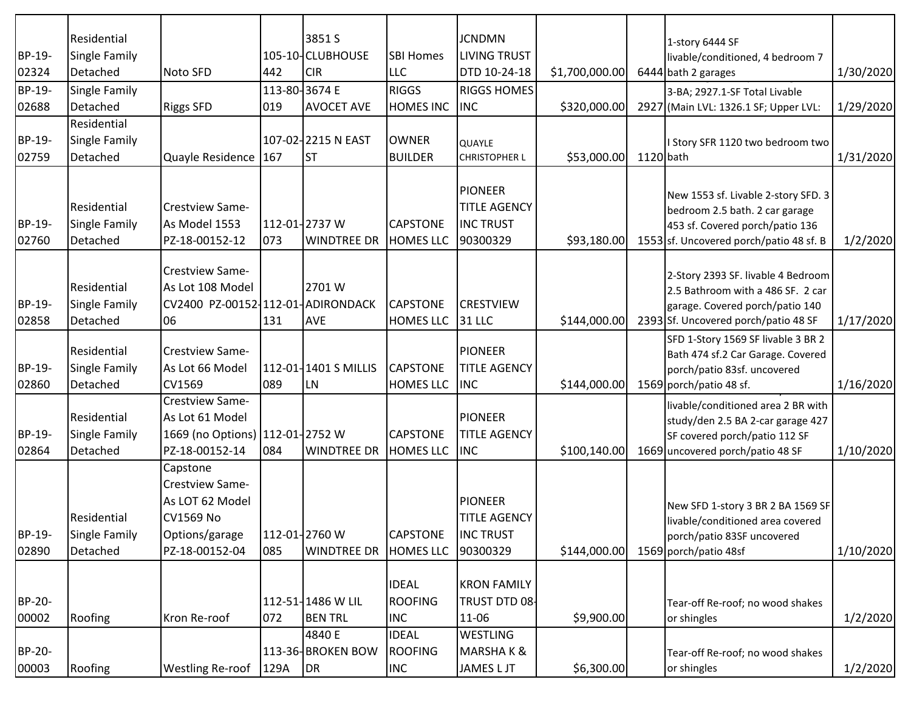|        | Residential          |                                   |      | 3851 S               |                  | <b>JCNDMN</b>        |                 |           | 1-story 6444 SF                                                         |           |
|--------|----------------------|-----------------------------------|------|----------------------|------------------|----------------------|-----------------|-----------|-------------------------------------------------------------------------|-----------|
| BP-19- | <b>Single Family</b> |                                   |      | 105-10-CLUBHOUSE     | <b>SBI Homes</b> | <b>LIVING TRUST</b>  |                 |           | livable/conditioned, 4 bedroom 7                                        |           |
| 02324  | Detached             | Noto SFD                          | 442  | <b>CIR</b>           | <b>LLC</b>       | DTD 10-24-18         | \$1,700,000.00] |           | 6444 bath 2 garages                                                     | 1/30/2020 |
| BP-19- | Single Family        |                                   |      | 113-80-3674 E        | <b>RIGGS</b>     | <b>RIGGS HOMES</b>   |                 |           | 3-BA; 2927.1-SF Total Livable                                           |           |
| 02688  | Detached             | <b>Riggs SFD</b>                  | 019  | <b>AVOCET AVE</b>    | <b>HOMES INC</b> | <b>INC</b>           | \$320,000.00    |           | 2927 (Main LVL: 1326.1 SF; Upper LVL:                                   | 1/29/2020 |
|        | Residential          |                                   |      |                      |                  |                      |                 |           |                                                                         |           |
| BP-19- | Single Family        |                                   |      | 107-02-2215 N EAST   | <b>OWNER</b>     | <b>QUAYLE</b>        |                 |           | I Story SFR 1120 two bedroom two                                        |           |
| 02759  | Detached             | Quayle Residence 167              |      | <b>ST</b>            | <b>BUILDER</b>   | <b>CHRISTOPHER L</b> | \$53,000.00     | 1120 bath |                                                                         | 1/31/2020 |
|        |                      |                                   |      |                      |                  |                      |                 |           |                                                                         |           |
|        |                      |                                   |      |                      |                  | <b>PIONEER</b>       |                 |           | New 1553 sf. Livable 2-story SFD. 3                                     |           |
|        | Residential          | Crestview Same-                   |      |                      |                  | <b>TITLE AGENCY</b>  |                 |           | bedroom 2.5 bath. 2 car garage                                          |           |
| BP-19- | <b>Single Family</b> | As Model 1553                     |      | 112-01-2737 W        | <b>CAPSTONE</b>  | <b>INC TRUST</b>     |                 |           | 453 sf. Covered porch/patio 136                                         |           |
| 02760  | Detached             | PZ-18-00152-12                    | 073  | <b>WINDTREE DR</b>   | <b>HOMES LLC</b> | 90300329             | \$93,180.00     |           | 1553 sf. Uncovered porch/patio 48 sf. B                                 | 1/2/2020  |
|        |                      |                                   |      |                      |                  |                      |                 |           |                                                                         |           |
|        |                      | Crestview Same-                   |      |                      |                  |                      |                 |           | 2-Story 2393 SF. livable 4 Bedroom                                      |           |
|        | Residential          | As Lot 108 Model                  |      | 2701 W               |                  |                      |                 |           | 2.5 Bathroom with a 486 SF. 2 car                                       |           |
| BP-19- | <b>Single Family</b> | CV2400 PZ-00152-112-01-ADIRONDACK |      |                      | CAPSTONE         | <b>CRESTVIEW</b>     |                 |           | garage. Covered porch/patio 140                                         |           |
| 02858  | Detached             | 06                                | 131  | <b>AVE</b>           | <b>HOMES LLC</b> | 31 LLC               | \$144,000.00    |           | 2393 Sf. Uncovered porch/patio 48 SF                                    | 1/17/2020 |
|        | Residential          | Crestview Same-                   |      |                      |                  | <b>PIONEER</b>       |                 |           | SFD 1-Story 1569 SF livable 3 BR 2                                      |           |
| BP-19- | Single Family        | As Lot 66 Model                   |      | 112-01-1401 S MILLIS | <b>CAPSTONE</b>  | <b>TITLE AGENCY</b>  |                 |           | Bath 474 sf.2 Car Garage. Covered<br>porch/patio 83sf. uncovered        |           |
| 02860  | Detached             | CV1569                            | 089  | LN                   | <b>HOMES LLC</b> | <b>INC</b>           | \$144,000.00    |           | 1569 porch/patio 48 sf.                                                 | 1/16/2020 |
|        |                      | Crestview Same-                   |      |                      |                  |                      |                 |           |                                                                         |           |
|        | Residential          | As Lot 61 Model                   |      |                      |                  | <b>PIONEER</b>       |                 |           | livable/conditioned area 2 BR with<br>study/den 2.5 BA 2-car garage 427 |           |
| BP-19- | <b>Single Family</b> | 1669 (no Options) 112-01-2752 W   |      |                      | <b>CAPSTONE</b>  | <b>TITLE AGENCY</b>  |                 |           | SF covered porch/patio 112 SF                                           |           |
| 02864  | Detached             | PZ-18-00152-14                    | 084  | <b>WINDTREE DR</b>   | <b>HOMES LLC</b> | <b>INC</b>           | \$100,140.00    |           | 1669 uncovered porch/patio 48 SF                                        | 1/10/2020 |
|        |                      | Capstone                          |      |                      |                  |                      |                 |           |                                                                         |           |
|        |                      | Crestview Same-                   |      |                      |                  |                      |                 |           |                                                                         |           |
|        |                      | As LOT 62 Model                   |      |                      |                  | <b>PIONEER</b>       |                 |           |                                                                         |           |
|        | Residential          | <b>CV1569 No</b>                  |      |                      |                  | <b>TITLE AGENCY</b>  |                 |           | New SFD 1-story 3 BR 2 BA 1569 SF                                       |           |
| BP-19- | <b>Single Family</b> | Options/garage                    |      | 112-01-2760 W        | <b>CAPSTONE</b>  | <b>INC TRUST</b>     |                 |           | livable/conditioned area covered<br>porch/patio 83SF uncovered          |           |
| 02890  | Detached             | PZ-18-00152-04                    | 085  | <b>WINDTREE DR</b>   | <b>HOMES LLC</b> | 90300329             | \$144,000.00    |           | 1569 porch/patio 48sf                                                   | 1/10/2020 |
|        |                      |                                   |      |                      |                  |                      |                 |           |                                                                         |           |
|        |                      |                                   |      |                      | <b>IDEAL</b>     | <b>KRON FAMILY</b>   |                 |           |                                                                         |           |
| BP-20- |                      |                                   |      | 112-51-1486 W LIL    | <b>ROOFING</b>   | TRUST DTD 08         |                 |           | Tear-off Re-roof; no wood shakes                                        |           |
| 00002  | Roofing              | Kron Re-roof                      | 072  | <b>BEN TRL</b>       | <b>INC</b>       | 11-06                | \$9,900.00      |           | or shingles                                                             | 1/2/2020  |
|        |                      |                                   |      | 4840 E               | <b>IDEAL</b>     | <b>WESTLING</b>      |                 |           |                                                                         |           |
| BP-20- |                      |                                   |      | 113-36-BROKEN BOW    | <b>ROOFING</b>   | <b>MARSHAK&amp;</b>  |                 |           | Tear-off Re-roof; no wood shakes                                        |           |
| 00003  | Roofing              | <b>Westling Re-roof</b>           | 129A | DR                   | <b>INC</b>       | <b>JAMES L JT</b>    | \$6,300.00      |           | or shingles                                                             | 1/2/2020  |